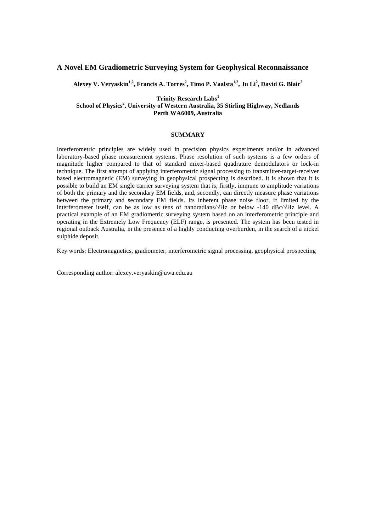# **A Novel EM Gradiometric Surveying System for Geophysical Reconnaissance**

Alexey V. Veryaskin<sup>1,2</sup>, Francis A. Torres<sup>2</sup>, Timo P. Vaalsta<sup>1,2</sup>, Ju Li<sup>2</sup>, David G. Blair<sup>2</sup>

## **Trinity Research Labs<sup>1</sup> School of Physics<sup>2</sup> , University of Western Australia, 35 Stirling Highway, Nedlands Perth WA6009, Australia**

## **SUMMARY**

Interferometric principles are widely used in precision physics experiments and/or in advanced laboratory-based phase measurement systems. Phase resolution of such systems is a few orders of magnitude higher compared to that of standard mixer-based quadrature demodulators or lock-in technique. The first attempt of applying interferometric signal processing to transmitter-target-receiver based electromagnetic (EM) surveying in geophysical prospecting is described. It is shown that it is possible to build an EM single carrier surveying system that is, firstly, immune to amplitude variations of both the primary and the secondary EM fields, and, secondly, can directly measure phase variations between the primary and secondary EM fields. Its inherent phase noise floor, if limited by the interferometer itself, can be as low as tens of nanoradians/√Hz or below -140 dBc/√Hz level. A practical example of an EM gradiometric surveying system based on an interferometric principle and operating in the Extremely Low Frequency (ELF) range, is presented. The system has been tested in regional outback Australia, in the presence of a highly conducting overburden, in the search of a nickel sulphide deposit.

Key words: Electromagnetics, gradiometer, interferometric signal processing, geophysical prospecting

Corresponding author: alexey.veryaskin@uwa.edu.au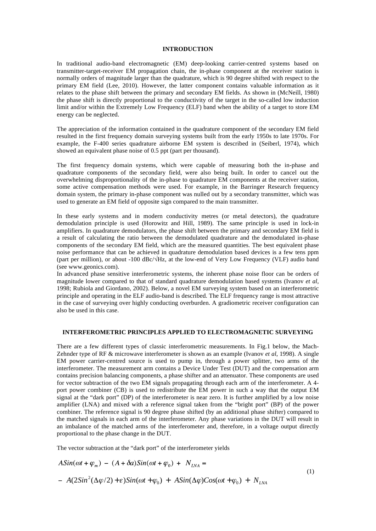### **INTRODUCTION**

In traditional audio-band electromagnetic (EM) deep-looking carrier-centred systems based on transmitter-target-receiver EM propagation chain, the in-phase component at the receiver station is normally orders of magnitude larger than the quadrature, which is 90 degree shifted with respect to the primary EM field (Lee, 2010). However, the latter component contains valuable information as it relates to the phase shift between the primary and secondary EM fields. As shown in (McNeill, 1980) the phase shift is directly proportional to the conductivity of the target in the so-called low induction limit and/or within the Extremely Low Frequency (ELF) band when the ability of a target to store EM energy can be neglected.

The appreciation of the information contained in the quadrature component of the secondary EM field resulted in the first frequency domain surveying systems built from the early 1950s to late 1970s. For example, the F-400 series quadrature airborne EM system is described in (Seiberl, 1974), which showed an equivalent phase noise of 0.5 ppt (part per thousand).

The first frequency domain systems, which were capable of measuring both the in-phase and quadrature components of the secondary field, were also being built. In order to cancel out the overwhelming disproportionality of the in-phase to quadrature EM components at the receiver station, some active compensation methods were used. For example, in the Barringer Research frequency domain system, the primary in-phase component was nulled out by a secondary transmitter, which was used to generate an EM field of opposite sign compared to the main transmitter.

In these early systems and in modern conductivity metres (or metal detectors), the quadrature demodulation principle is used (Horowitz and Hill, 1989). The same principle is used in lock-in amplifiers. In quadrature demodulators, the phase shift between the primary and secondary EM field is a result of calculating the ratio between the demodulated quadrature and the demodulated in-phase components of the secondary EM field, which are the measured quantities. The best equivalent phase noise performance that can be achieved in quadrature demodulation based devices is a few tens ppm (part per million), or about -100 dBc/√Hz, at the low-end of Very Low Frequency (VLF) audio band (see www.geonics.com).

In advanced phase sensitive interferometric systems, the inherent phase noise floor can be orders of magnitude lower compared to that of standard quadrature demodulation based systems (Ivanov *et al*, 1998; Rubiola and Giordano, 2002). Below, a novel EM surveying system based on an interferometric principle and operating in the ELF audio-band is described. The ELF frequency range is most attractive in the case of surveying over highly conducting overburden. A gradiometric receiver configuration can also be used in this case.

## **INTERFEROMETRIC PRINCIPLES APPLIED TO ELECTROMAGNETIC SURVEYING**

There are a few different types of classic interferometric measurements. In Fig.1 below, the Mach-Zehnder type of RF & microwave interferometer is shown as an example (Ivanov *et al*, 1998). A single EM power carrier-centred source is used to pump in, through a power splitter, two arms of the interferometer. The measurement arm contains a Device Under Test (DUT) and the compensation arm contains precision balancing components, a phase shifter and an attenuator. These components are used for vector subtraction of the two EM signals propagating through each arm of the interferometer. A 4 port power combiner (CB) is used to redistribute the EM power in such a way that the output EM signal at the "dark port" (DP) of the interferometer is near zero. It is further amplified by a low noise amplifier (LNA) and mixed with a reference signal taken from the "bright port" (BP) of the power combiner. The reference signal is 90 degree phase shifted (by an additional phase shifter) compared to the matched signals in each arm of the interferometer. Any phase variations in the DUT will result in an imbalance of the matched arms of the interferometer and, therefore, in a voltage output directly proportional to the phase change in the DUT.

The vector subtraction at the "dark port" of the interferometer yields

$$
A\sin(\omega t + \varphi_m) - (A + \delta a)\sin(\omega t + \varphi_0) + N_{LNA} =
$$
  
-  $A(2\sin^2(\Delta\varphi/2) + \varepsilon)\sin(\omega t + \varphi_0) + A\sin(\Delta\varphi) \cos(\omega t + \varphi_0) + N_{LNA}$  (1)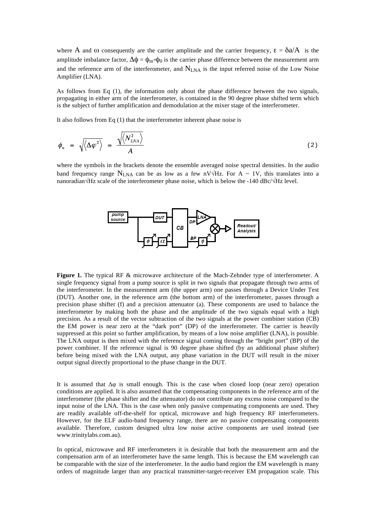where A and  $\omega$  consequently are the carrier amplitude and the carrier frequency,  $\epsilon = \delta a/A$  is the amplitude imbalance factor,  $\Delta \phi = \phi_m - \phi_0$  is the carrier phase difference between the measurement arm and the reference arm of the interferometer, and N<sub>LNA</sub> is the input referred noise of the Low Noise Amplifier (LNA).

As follows from Eq (1), the information only about the phase difference between the two signals, propagating in either arm of the interferometer, is contained in the 90 degree phase shifted term which is the subject of further amplification and demodulation at the mixer stage of the interferometer.

It also follows from Eq (1) that the interferometer inherent phase noise is

$$
\phi_n = \sqrt{\langle \Delta \varphi^2 \rangle} = \frac{\sqrt{\langle N_{LNA}^2 \rangle}}{A}
$$
 (2)

where the symbols in the brackets denote the ensemble averaged noise spectral densities. In the audio band frequency range N<sub>LNA</sub> can be as low as a few nV $\sqrt{Hz}$ . For A ~ 1V, this translates into a nanoradian√Hz scale of the interferometer phase noise, which is below the -140 dBc/√Hz level.



**Figure 1.** The typical RF & microwave architecture of the Mach-Zehnder type of interferometer. A single frequency signal from a pump source is split in two signals that propagate through two arms of the interferometer. In the measurement arm (the upper arm) one passes through a Device Under Test (DUT). Another one, in the reference arm (the bottom arm) of the interferometer, passes through a precision phase shifter (f) and a precision attenuator (a). These components are used to balance the interferometer by making both the phase and the amplitude of the two signals equal with a high precision. As a result of the vector subtraction of the two signals at the power combiner station (CB) the EM power is near zero at the "dark port" (DP) of the interferometer. The carrier is heavily suppressed at this point so further amplification, by means of a low noise amplifier (LNA), is possible. The LNA output is then mixed with the reference signal coming through the "bright port" (BP) of the power combiner. If the reference signal is 90 degree phase shifted (by an additional phase shifter) before being mixed with the LNA output, any phase variation in the DUT will result in the mixer output signal directly proportional to the phase change in the DUT.

It is assumed that  $\Delta\varphi$  is small enough. This is the case when closed loop (near zero) operation conditions are applied. It is also assumed that the compensating components in the reference arm of the interferometer (the phase shifter and the attenuator) do not contribute any excess noise compared to the input noise of the LNA. This is the case when only passive compensating components are used. They are readily available off-the-shelf for optical, microwave and high frequency RF interferometers. However, for the ELF audio-band frequency range, there are no passive compensating components available. Therefore, custom designed ultra low noise active components are used instead (see www.trinitylabs.com.au).

In optical, microwave and RF interferometers it is desirable that both the measurement arm and the compensation arm of an interferometer have the same length. This is because the EM wavelength can be comparable with the size of the interferometer. In the audio band region the EM wavelength is many orders of magnitude larger than any practical transmitter-target-receiver EM propagation scale. This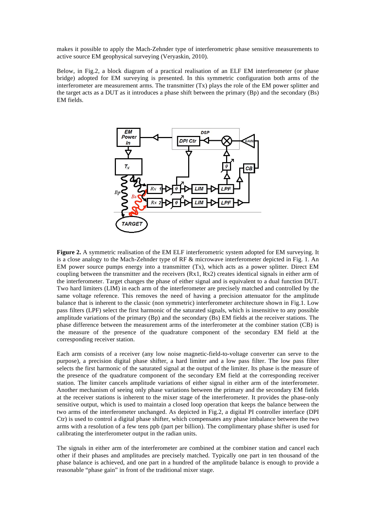makes it possible to apply the Mach-Zehnder type of interferometric phase sensitive measurements to active source EM geophysical surveying (Veryaskin, 2010).

Below, in Fig.2, a block diagram of a practical realisation of an ELF EM interferometer (or phase bridge) adopted for EM surveying is presented. In this symmetric configuration both arms of the interferometer are measurement arms. The transmitter (Tx) plays the role of the EM power splitter and the target acts as a DUT as it introduces a phase shift between the primary (Bp) and the secondary (Bs) EM fields.



**Figure 2.** A symmetric realisation of the EM ELF interferometric system adopted for EM surveying. It is a close analogy to the Mach-Zehnder type of RF & microwave interferometer depicted in Fig. 1. An EM power source pumps energy into a transmitter (Tx), which acts as a power splitter. Direct EM coupling between the transmitter and the receivers (Rx1, Rx2) creates identical signals in either arm of the interferometer. Target changes the phase of either signal and is equivalent to a dual function DUT. Two hard limiters (LIM) in each arm of the interferometer are precisely matched and controlled by the same voltage reference. This removes the need of having a precision attenuator for the amplitude balance that is inherent to the classic (non symmetric) interferometer architecture shown in Fig.1. Low pass filters (LPF) select the first harmonic of the saturated signals, which is insensitive to any possible amplitude variations of the primary (Bp) and the secondary (Bs) EM fields at the receiver stations. The phase difference between the measurement arms of the interferometer at the combiner station (CB) is the measure of the presence of the quadrature component of the secondary EM field at the corresponding receiver station.

Each arm consists of a receiver (any low noise magnetic-field-to-voltage converter can serve to the purpose), a precision digital phase shifter, a hard limiter and a low pass filter. The low pass filter selects the first harmonic of the saturated signal at the output of the limiter. Its phase is the measure of the presence of the quadrature component of the secondary EM field at the corresponding receiver station. The limiter cancels amplitude variations of either signal in either arm of the interferometer. Another mechanism of seeing only phase variations between the primary and the secondary EM fields at the receiver stations is inherent to the mixer stage of the interferometer. It provides the phase-only sensitive output, which is used to maintain a closed loop operation that keeps the balance between the two arms of the interferometer unchanged. As depicted in Fig.2, a digital PI controller interface (DPI Ctr) is used to control a digital phase shifter, which compensates any phase imbalance between the two arms with a resolution of a few tens ppb (part per billion). The complimentary phase shifter is used for calibrating the interferometer output in the radian units.

The signals in either arm of the interferometer are combined at the combiner station and cancel each other if their phases and amplitudes are precisely matched. Typically one part in ten thousand of the phase balance is achieved, and one part in a hundred of the amplitude balance is enough to provide a reasonable "phase gain" in front of the traditional mixer stage.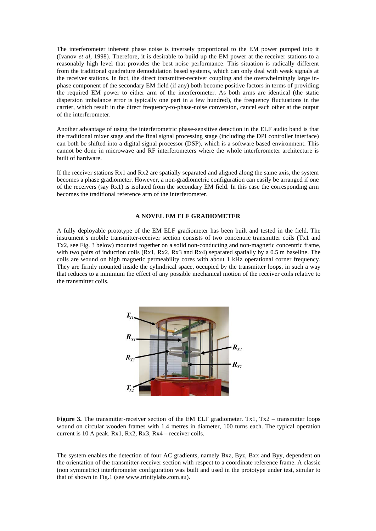The interferometer inherent phase noise is inversely proportional to the EM power pumped into it (Ivanov *et al*, 1998). Therefore, it is desirable to build up the EM power at the receiver stations to a reasonably high level that provides the best noise performance. This situation is radically different from the traditional quadrature demodulation based systems, which can only deal with weak signals at the receiver stations. In fact, the direct transmitter-receiver coupling and the overwhelmingly large inphase component of the secondary EM field (if any) both become positive factors in terms of providing the required EM power to either arm of the interferometer. As both arms are identical (the static dispersion imbalance error is typically one part in a few hundred), the frequency fluctuations in the carrier, which result in the direct frequency-to-phase-noise conversion, cancel each other at the output of the interferometer.

Another advantage of using the interferometric phase-sensitive detection in the ELF audio band is that the traditional mixer stage and the final signal processing stage (including the DPI controller interface) can both be shifted into a digital signal processor (DSP), which is a software based environment. This cannot be done in microwave and RF interferometers where the whole interferometer architecture is built of hardware.

If the receiver stations Rx1 and Rx2 are spatially separated and aligned along the same axis, the system becomes a phase gradiometer. However, a non-gradiometric configuration can easily be arranged if one of the receivers (say Rx1) is isolated from the secondary EM field. In this case the corresponding arm becomes the traditional reference arm of the interferometer.

#### **A NOVEL EM ELF GRADIOMETER**

A fully deployable prototype of the EM ELF gradiometer has been built and tested in the field. The instrument's mobile transmitter-receiver section consists of two concentric transmitter coils (Tx1 and Tx2, see Fig. 3 below) mounted together on a solid non-conducting and non-magnetic concentric frame, with two pairs of induction coils (Rx1, Rx2, Rx3 and Rx4) separated spatially by a 0.5 m baseline. The coils are wound on high magnetic permeability cores with about 1 kHz operational corner frequency. They are firmly mounted inside the cylindrical space, occupied by the transmitter loops, in such a way that reduces to a minimum the effect of any possible mechanical motion of the receiver coils relative to the transmitter coils.



**Figure 3.** The transmitter-receiver section of the EM ELF gradiometer. Tx1, Tx2 – transmitter loops wound on circular wooden frames with 1.4 metres in diameter, 100 turns each. The typical operation current is 10 A peak. Rx1, Rx2, Rx3, Rx4 – receiver coils.

The system enables the detection of four AC gradients, namely Bxz, Byz, Bxx and Byy, dependent on the orientation of the transmitter-receiver section with respect to a coordinate reference frame. A classic (non symmetric) interferometer configuration was built and used in the prototype under test, similar to that of shown in Fig.1 (see www.trinitylabs.com.au).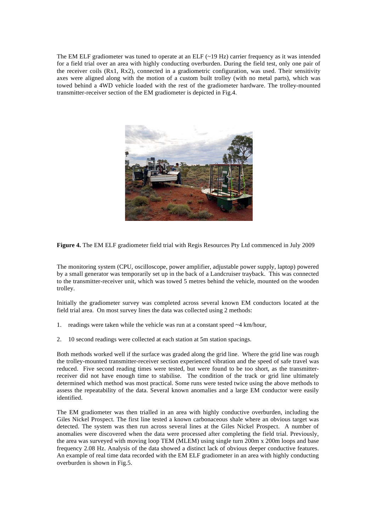The EM ELF gradiometer was tuned to operate at an ELF  $(-19 \text{ Hz})$  carrier frequency as it was intended for a field trial over an area with highly conducting overburden. During the field test, only one pair of the receiver coils (Rx1, Rx2), connected in a gradiometric configuration, was used. Their sensitivity axes were aligned along with the motion of a custom built trolley (with no metal parts), which was towed behind a 4WD vehicle loaded with the rest of the gradiometer hardware. The trolley-mounted transmitter-receiver section of the EM gradiometer is depicted in Fig.4.



**Figure 4.** The EM ELF gradiometer field trial with Regis Resources Pty Ltd commenced in July 2009

The monitoring system (CPU, oscilloscope, power amplifier, adjustable power supply, laptop) powered by a small generator was temporarily set up in the back of a Landcruiser trayback. This was connected to the transmitter-receiver unit, which was towed 5 metres behind the vehicle, mounted on the wooden trolley.

Initially the gradiometer survey was completed across several known EM conductors located at the field trial area. On most survey lines the data was collected using 2 methods:

- 1. readings were taken while the vehicle was run at a constant speed ~4 km/hour,
- 2. 10 second readings were collected at each station at 5m station spacings.

Both methods worked well if the surface was graded along the grid line. Where the grid line was rough the trolley-mounted transmitter-receiver section experienced vibration and the speed of safe travel was reduced. Five second reading times were tested, but were found to be too short, as the transmitterreceiver did not have enough time to stabilise. The condition of the track or grid line ultimately determined which method was most practical. Some runs were tested twice using the above methods to assess the repeatability of the data. Several known anomalies and a large EM conductor were easily identified.

The EM gradiometer was then trialled in an area with highly conductive overburden, including the Giles Nickel Prospect. The first line tested a known carbonaceous shale where an obvious target was detected. The system was then run across several lines at the Giles Nickel Prospect. A number of anomalies were discovered when the data were processed after completing the field trial. Previously, the area was surveyed with moving loop TEM (MLEM) using single turn 200m x 200m loops and base frequency 2.08 Hz. Analysis of the data showed a distinct lack of obvious deeper conductive features. An example of real time data recorded with the EM ELF gradiometer in an area with highly conducting overburden is shown in Fig.5.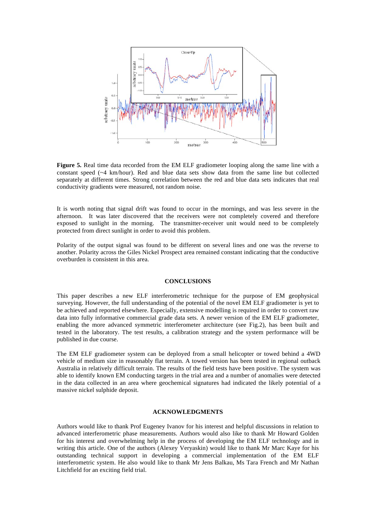

**Figure 5.** Real time data recorded from the EM ELF gradiometer looping along the same line with a constant speed (~4 km/hour). Red and blue data sets show data from the same line but collected separately at different times. Strong correlation between the red and blue data sets indicates that real conductivity gradients were measured, not random noise.

It is worth noting that signal drift was found to occur in the mornings, and was less severe in the afternoon. It was later discovered that the receivers were not completely covered and therefore exposed to sunlight in the morning. The transmitter-receiver unit would need to be completely protected from direct sunlight in order to avoid this problem.

Polarity of the output signal was found to be different on several lines and one was the reverse to another. Polarity across the Giles Nickel Prospect area remained constant indicating that the conductive overburden is consistent in this area.

#### **CONCLUSIONS**

This paper describes a new ELF interferometric technique for the purpose of EM geophysical surveying. However, the full understanding of the potential of the novel EM ELF gradiometer is yet to be achieved and reported elsewhere. Especially, extensive modelling is required in order to convert raw data into fully informative commercial grade data sets. A newer version of the EM ELF gradiometer, enabling the more advanced symmetric interferometer architecture (see Fig.2), has been built and tested in the laboratory. The test results, a calibration strategy and the system performance will be published in due course.

The EM ELF gradiometer system can be deployed from a small helicopter or towed behind a 4WD vehicle of medium size in reasonably flat terrain. A towed version has been tested in regional outback Australia in relatively difficult terrain. The results of the field tests have been positive. The system was able to identify known EM conducting targets in the trial area and a number of anomalies were detected in the data collected in an area where geochemical signatures had indicated the likely potential of a massive nickel sulphide deposit.

### **ACKNOWLEDGMENTS**

Authors would like to thank Prof Eugeney Ivanov for his interest and helpful discussions in relation to advanced interferometric phase measurements. Authors would also like to thank Mr Howard Golden for his interest and overwhelming help in the process of developing the EM ELF technology and in writing this article. One of the authors (Alexey Veryaskin) would like to thank Mr Marc Kaye for his outstanding technical support in developing a commercial implementation of the EM ELF interferometric system. He also would like to thank Mr Jens Balkau, Ms Tara French and Mr Nathan Litchfield for an exciting field trial.